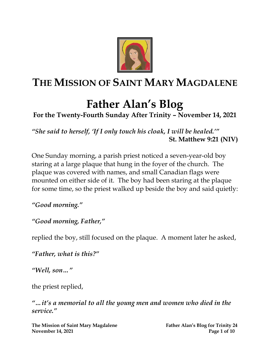

# **THE MISSION OF SAINT MARY MAGDALENE**

# **Father Alan's Blog**

### **For the Twenty-Fourth Sunday After Trinity – November 14, 2021**

*"She said to herself, 'If I only touch his cloak, I will be healed.'"* **St. Matthew 9:21 (NIV)**

One Sunday morning, a parish priest noticed a seven-year-old boy staring at a large plaque that hung in the foyer of the church. The plaque was covered with names, and small Canadian flags were mounted on either side of it. The boy had been staring at the plaque for some time, so the priest walked up beside the boy and said quietly:

*"Good morning."*

*"Good morning, Father,"* 

replied the boy, still focused on the plaque. A moment later he asked,

*"Father, what is this?"*

*"Well, son…"* 

the priest replied,

*"…it's a memorial to all the young men and women who died in the service."*

**The Mission of Saint Mary Magdalene Father Alan's Blog for Trinity 24 November 14, 2021 Page 1** of 10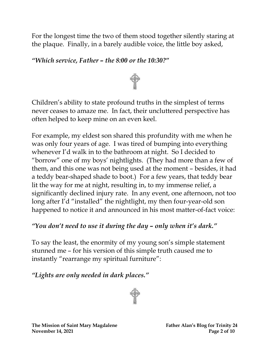For the longest time the two of them stood together silently staring at the plaque. Finally, in a barely audible voice, the little boy asked,

#### *"Which service, Father – the 8:00 or the 10:30?"*



Children's ability to state profound truths in the simplest of terms never ceases to amaze me. In fact, their uncluttered perspective has often helped to keep mine on an even keel.

For example, my eldest son shared this profundity with me when he was only four years of age. I was tired of bumping into everything whenever I'd walk in to the bathroom at night. So I decided to "borrow" one of my boys' nightlights. (They had more than a few of them, and this one was not being used at the moment – besides, it had a teddy bear-shaped shade to boot.) For a few years, that teddy bear lit the way for me at night, resulting in, to my immense relief, a significantly declined injury rate. In any event, one afternoon, not too long after I'd "installed" the nightlight, my then four-year-old son happened to notice it and announced in his most matter-of-fact voice:

#### *"You don't need to use it during the day – only when it's dark."*

To say the least, the enormity of my young son's simple statement stunned me – for his version of this simple truth caused me to instantly "rearrange my spiritual furniture":

*"Lights are only needed in dark places."*

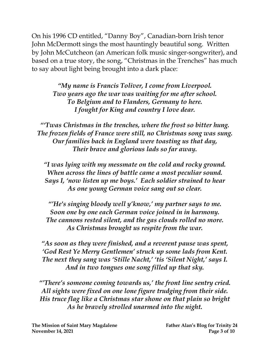On his 1996 CD entitled, "Danny Boy", Canadian-born Irish tenor John McDermott sings the most hauntingly beautiful song. Written by John McCutcheon (an American folk music singer-songwriter), and based on a true story, the song, "Christmas in the Trenches" has much to say about light being brought into a dark place:

> *"My name is Francis Toliver, I come from Liverpool. Two years ago the war was waiting for me after school. To Belgium and to Flanders, Germany to here. I fought for King and country I love dear.*

*"'Twas Christmas in the trenches, where the frost so bitter hung. The frozen fields of France were still, no Christmas song was sung. Our families back in England were toasting us that day, Their brave and glorious lads so far away.*

*"I was lying with my messmate on the cold and rocky ground. When across the lines of battle came a most peculiar sound. Says I, 'now listen up me boys.' Each soldier strained to hear As one young German voice sang out so clear.*

*"'He's singing bloody well y'know,' my partner says to me. Soon one by one each German voice joined in in harmony. The cannons rested silent, and the gas clouds rolled no more. As Christmas brought us respite from the war.*

*"As soon as they were finished, and a reverent pause was spent, 'God Rest Ye Merry Gentlemen' struck up some lads from Kent. The next they sang was 'Stille Nacht,' 'tis 'Silent Night,' says I. And in two tongues one song filled up that sky.*

*"'There's someone coming towards us,' the front line sentry cried. All sights were fixed on one lone figure trudging from their side. His truce flag like a Christmas star shone on that plain so bright As he bravely strolled unarmed into the night.*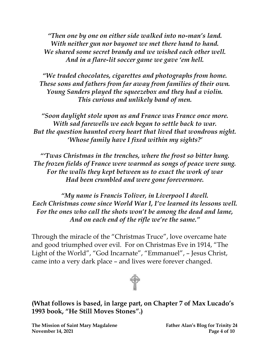*"Then one by one on either side walked into no-man's land. With neither gun nor bayonet we met there hand to hand. We shared some secret brandy and we wished each other well. And in a flare-lit soccer game we gave 'em hell.*

*"We traded chocolates, cigarettes and photographs from home. These sons and fathers from far away from families of their own. Young Sanders played the squeezebox and they had a violin. This curious and unlikely band of men.*

*"Soon daylight stole upon us and France was France once more. With sad farewells we each began to settle back to war. But the question haunted every heart that lived that wondrous night. 'Whose family have I fixed within my sights?'*

*"'Twas Christmas in the trenches, where the frost so bitter hung. The frozen fields of France were warmed as songs of peace were sung. For the walls they kept between us to exact the work of war Had been crumbled and were gone forevermore.*

*"My name is Francis Toliver, in Liverpool I dwell. Each Christmas come since World War I, I've learned its lessons well. For the ones who call the shots won't be among the dead and lame, And on each end of the rifle we're the same."*

Through the miracle of the "Christmas Truce", love overcame hate and good triumphed over evil. For on Christmas Eve in 1914, "The Light of the World", "God Incarnate", "Emmanuel", – Jesus Christ, came into a very dark place – and lives were forever changed.



**(What follows is based, in large part, on Chapter 7 of Max Lucado's 1993 book, "He Still Moves Stones".)**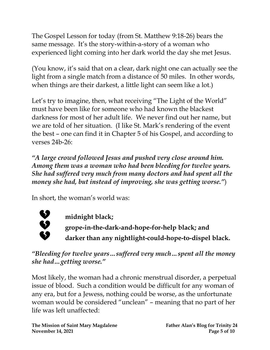The Gospel Lesson for today (from St. Matthew 9:18-26) bears the same message. It's the story-within-a-story of a woman who experienced light coming into her dark world the day she met Jesus.

(You know, it's said that on a clear, dark night one can actually see the light from a single match from a distance of 50 miles. In other words, when things are their darkest, a little light can seem like a lot.)

Let's try to imagine, then, what receiving "The Light of the World" must have been like for someone who had known the blackest darkness for most of her adult life. We never find out her name, but we are told of her situation. (I like St. Mark's rendering of the event the best – one can find it in Chapter 5 of his Gospel, and according to verses 24b-26:

*"A large crowd followed Jesus and pushed very close around him. Among them was a woman who had been bleeding for twelve years. She had suffered very much from many doctors and had spent all the money she had, but instead of improving, she was getting worse."*)

In short, the woman's world was:



**midnight black;**

**grope-in-the-dark-and-hope-for-help black; and darker than any nightlight-could-hope-to-dispel black.**

*"Bleeding for twelve years…suffered very much…spent all the money she had…getting worse."*

Most likely, the woman had a chronic menstrual disorder, a perpetual issue of blood. Such a condition would be difficult for any woman of any era, but for a Jewess, nothing could be worse, as the unfortunate woman would be considered "unclean" – meaning that no part of her life was left unaffected: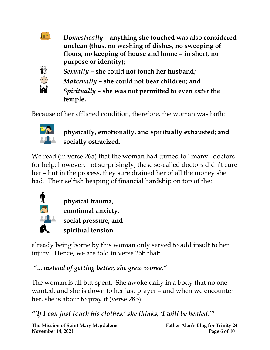

*Domestically* **– anything she touched was also considered unclean (thus, no washing of dishes, no sweeping of floors, no keeping of house and home – in short, no purpose or identity);**



*Sexually* **– she could not touch her husband;**

*Maternally* **– she could not bear children; and**

*Spiritually* **– she was not permitted to even** *enter* **the temple.**

Because of her afflicted condition, therefore, the woman was both:



### **physically, emotionally, and spiritually exhausted; and socially ostracized.**

We read (in verse 26a) that the woman had turned to "many" doctors for help; however, not surprisingly, these so-called doctors didn't cure her – but in the process, they sure drained her of all the money she had. Their selfish heaping of financial hardship on top of the:



**physical trauma, emotional anxiety, social pressure, and spiritual tension**

already being borne by this woman only served to add insult to her injury. Hence, we are told in verse 26b that:

*"…instead of getting better, she grew worse."*

The woman is all but spent. She awoke daily in a body that no one wanted, and she is down to her last prayer – and when we encounter her, she is about to pray it (verse 28b):

*"'If I can just touch his clothes,' she thinks, 'I will be healed.'"*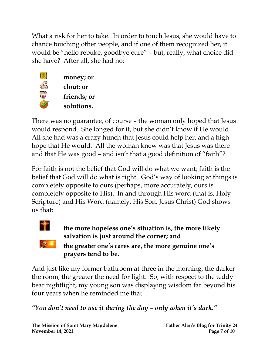What a risk for her to take. In order to touch Jesus, she would have to chance touching other people, and if one of them recognized her, it would be "hello rebuke, goodbye cure" – but, really, what choice did she have? After all, she had no:



There was no guarantee, of course – the woman only hoped that Jesus would respond. She longed for it, but she didn't know if He would. All she had was a crazy hunch that Jesus could help her, and a high hope that He would. All the woman knew was that Jesus was there and that He was good – and isn't that a good definition of "faith"?

For faith is not the belief that God will do what we want; faith is the belief that God will do what is right. God's way of looking at things is completely opposite to ours (perhaps, more accurately, ours is completely opposite to His). In and through His word (that is, Holy Scripture) and His Word (namely, His Son, Jesus Christ) God shows us that:



**the more hopeless one's situation is, the more likely salvation is just around the corner; and the greater one's cares are, the more genuine one's prayers tend to be.**

And just like my former bathroom at three in the morning, the darker the room, the greater the need for light. So, with respect to the teddy bear nightlight, my young son was displaying wisdom far beyond his four years when he reminded me that:

*"You don't need to use it during the day – only when it's dark."*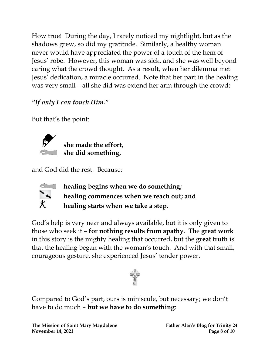How true! During the day, I rarely noticed my nightlight, but as the shadows grew, so did my gratitude. Similarly, a healthy woman never would have appreciated the power of a touch of the hem of Jesus' robe. However, this woman was sick, and she was well beyond caring what the crowd thought. As a result, when her dilemma met Jesus' dedication, a miracle occurred. Note that her part in the healing was very small – all she did was extend her arm through the crowd:

*"If only I can touch Him."*

But that's the point:



and God did the rest. Because:



**healing begins when we do something; healing commences when we reach out; and healing starts when we take a step.**

God's help is very near and always available, but it is only given to those who seek it – **for nothing results from apathy**. The **great work** in this story is the mighty healing that occurred, but the **great truth** is that the healing began with the woman's touch. And with that small, courageous gesture, she experienced Jesus' tender power.



Compared to God's part, ours is miniscule, but necessary; we don't have to do much – **but we have to do something**: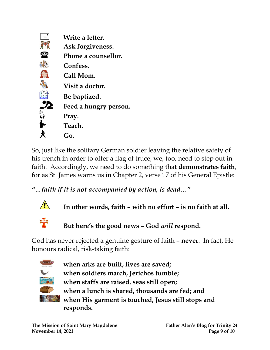

So, just like the solitary German soldier leaving the relative safety of his trench in order to offer a flag of truce, we, too, need to step out in faith. Accordingly, we need to do something that **demonstrates faith**, for as St. James warns us in Chapter 2, verse 17 of his General Epistle:

*"…faith if it is not accompanied by action, is dead…"*



**In other words, faith – with no effort – is no faith at all.**



**But here's the good news – God** *will* **respond.** 

God has never rejected a genuine gesture of faith – **never**. In fact, He honours radical, risk-taking faith:



**when arks are built, lives are saved; when soldiers march, Jerichos tumble; when staffs are raised, seas still open; when a lunch is shared, thousands are fed; and when His garment is touched, Jesus still stops and responds.**